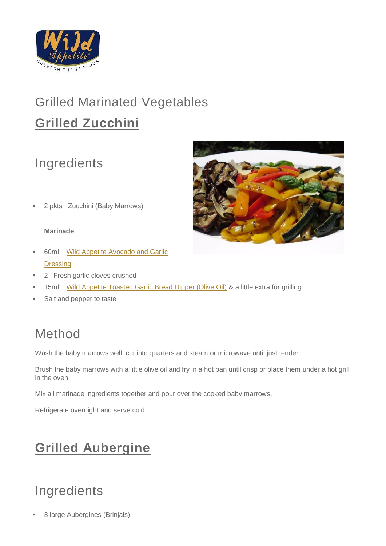

# Grilled Marinated Vegetables **Grilled Zucchini**

## Ingredients



2 pkts Zucchini (Baby Marrows)

#### **Marinade**

- 60ml[Wild Appetite Avocado and Garlic](https://secure.zeald.com/wildappetite/shop/Products%20%26%20Shop/Wild%20Appetite/Dressings/Avocado%20and%20Garlic%20Dressing250?sku=00925&mv_pc=186573)  **[Dressing](https://secure.zeald.com/wildappetite/shop/Products%20%26%20Shop/Wild%20Appetite/Dressings/Avocado%20and%20Garlic%20Dressing250?sku=00925&mv_pc=186574)**
- 2 Fresh garlic cloves crushed
- 15ml [Wild Appetite Toasted Garlic Bread Dipper \(Olive Oil\)](https://secure.zeald.com/wildappetite/shop/Products%20%26%20Shop/Wild%20Appetite/Specialty%20Foods/Olive%20Oils/garlic_bread_dipper?sku=00951&mv_pc=186575) & a little extra for grilling
- Salt and pepper to taste

### Method

Wash the baby marrows well, cut into quarters and steam or microwave until just tender.

Brush the baby marrows with a little olive oil and fry in a hot pan until crisp or place them under a hot grill in the oven.

Mix all marinade ingredients together and pour over the cooked baby marrows.

Refrigerate overnight and serve cold.

## **Grilled Aubergine**

## Ingredients

3 large Aubergines (Brinjals)